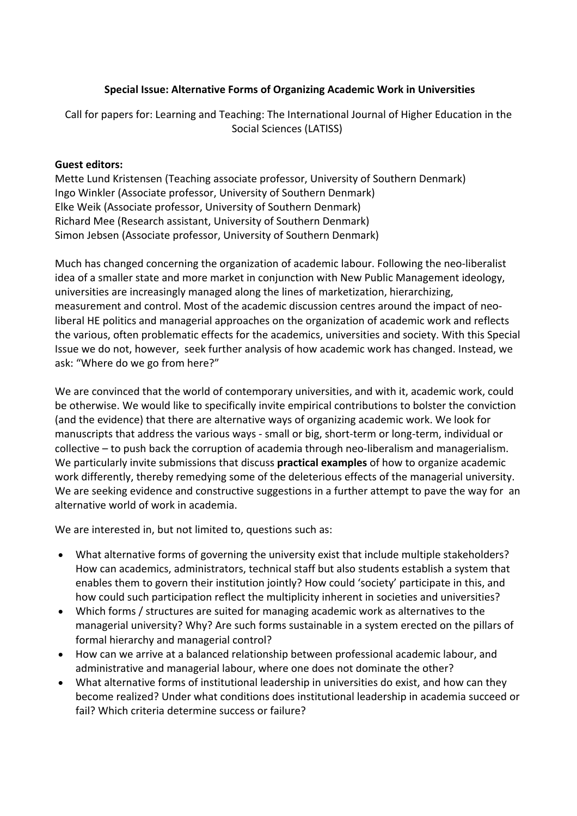## **Special Issue: Alternative Forms of Organizing Academic Work in Universities**

Call for papers for: Learning and Teaching: The International Journal of Higher Education in the Social Sciences (LATISS)

## **Guest editors:**

Mette Lund Kristensen (Teaching associate professor, University of Southern Denmark) Ingo Winkler (Associate professor, University of Southern Denmark) Elke Weik (Associate professor, University of Southern Denmark) Richard Mee (Research assistant, University of Southern Denmark) Simon Jebsen (Associate professor, University of Southern Denmark)

Much has changed concerning the organization of academic labour. Following the neo-liberalist idea of a smaller state and more market in conjunction with New Public Management ideology, universities are increasingly managed along the lines of marketization, hierarchizing, measurement and control. Most of the academic discussion centres around the impact of neoliberal HE politics and managerial approaches on the organization of academic work and reflects the various, often problematic effects for the academics, universities and society. With this Special Issue we do not, however, seek further analysis of how academic work has changed. Instead, we ask: "Where do we go from here?"

We are convinced that the world of contemporary universities, and with it, academic work, could be otherwise. We would like to specifically invite empirical contributions to bolster the conviction (and the evidence) that there are alternative ways of organizing academic work. We look for manuscripts that address the various ways - small or big, short-term or long-term, individual or collective – to push back the corruption of academia through neo-liberalism and managerialism. We particularly invite submissions that discuss **practical examples** of how to organize academic work differently, thereby remedying some of the deleterious effects of the managerial university. We are seeking evidence and constructive suggestions in a further attempt to pave the way for an alternative world of work in academia.

We are interested in, but not limited to, questions such as:

- What alternative forms of governing the university exist that include multiple stakeholders? How can academics, administrators, technical staff but also students establish a system that enables them to govern their institution jointly? How could 'society' participate in this, and how could such participation reflect the multiplicity inherent in societies and universities?
- Which forms / structures are suited for managing academic work as alternatives to the managerial university? Why? Are such forms sustainable in a system erected on the pillars of formal hierarchy and managerial control?
- How can we arrive at a balanced relationship between professional academic labour, and administrative and managerial labour, where one does not dominate the other?
- What alternative forms of institutional leadership in universities do exist, and how can they become realized? Under what conditions does institutional leadership in academia succeed or fail? Which criteria determine success or failure?